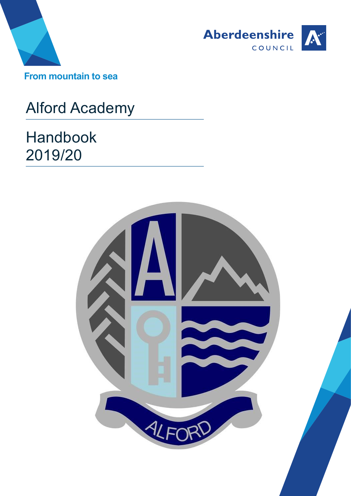



# Alford Academy

Handbook 2019/20

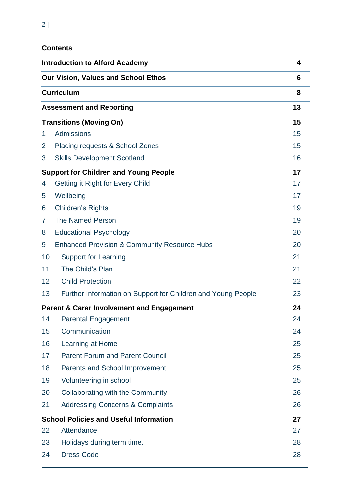|    | <b>Contents</b>                                              |    |  |
|----|--------------------------------------------------------------|----|--|
|    | <b>Introduction to Alford Academy</b>                        | 4  |  |
|    | <b>Our Vision, Values and School Ethos</b>                   | 6  |  |
|    | <b>Curriculum</b>                                            | 8  |  |
|    | <b>Assessment and Reporting</b>                              | 13 |  |
|    | <b>Transitions (Moving On)</b>                               | 15 |  |
| 1. | Admissions                                                   | 15 |  |
| 2  | Placing requests & School Zones                              | 15 |  |
| 3  | <b>Skills Development Scotland</b>                           | 16 |  |
|    | <b>Support for Children and Young People</b>                 | 17 |  |
| 4  | <b>Getting it Right for Every Child</b>                      | 17 |  |
| 5  | Wellbeing                                                    | 17 |  |
| 6  | <b>Children's Rights</b>                                     | 19 |  |
| 7  | <b>The Named Person</b>                                      | 19 |  |
| 8  | <b>Educational Psychology</b>                                | 20 |  |
| 9  | <b>Enhanced Provision &amp; Community Resource Hubs</b>      | 20 |  |
| 10 | <b>Support for Learning</b>                                  | 21 |  |
| 11 | The Child's Plan                                             | 21 |  |
| 12 | <b>Child Protection</b>                                      | 22 |  |
| 13 | Further Information on Support for Children and Young People | 23 |  |
|    | <b>Parent &amp; Carer Involvement and Engagement</b>         | 24 |  |
| 14 | <b>Parental Engagement</b>                                   | 24 |  |
| 15 | Communication                                                | 24 |  |
| 16 | Learning at Home                                             | 25 |  |
| 17 | <b>Parent Forum and Parent Council</b>                       | 25 |  |
| 18 | <b>Parents and School Improvement</b>                        | 25 |  |
| 19 | Volunteering in school                                       | 25 |  |
| 20 | <b>Collaborating with the Community</b>                      | 26 |  |
| 21 | <b>Addressing Concerns &amp; Complaints</b>                  | 26 |  |
|    | <b>School Policies and Useful Information</b>                | 27 |  |
| 22 | Attendance                                                   | 27 |  |
| 23 | Holidays during term time.                                   | 28 |  |
| 24 | <b>Dress Code</b>                                            | 28 |  |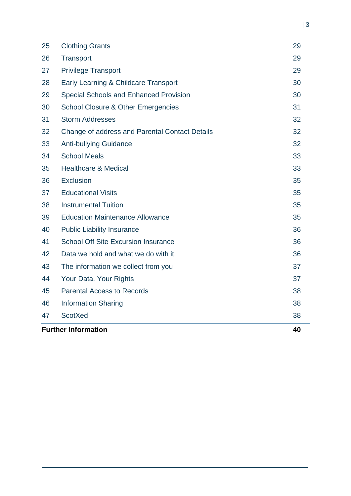|    | <b>Further Information</b>                     | 40 |
|----|------------------------------------------------|----|
| 47 | <b>ScotXed</b>                                 | 38 |
| 46 | <b>Information Sharing</b>                     | 38 |
| 45 | <b>Parental Access to Records</b>              | 38 |
| 44 | Your Data, Your Rights                         | 37 |
| 43 | The information we collect from you            | 37 |
| 42 | Data we hold and what we do with it.           | 36 |
| 41 | <b>School Off Site Excursion Insurance</b>     | 36 |
| 40 | <b>Public Liability Insurance</b>              | 36 |
| 39 | <b>Education Maintenance Allowance</b>         | 35 |
| 38 | <b>Instrumental Tuition</b>                    | 35 |
| 37 | <b>Educational Visits</b>                      | 35 |
| 36 | <b>Exclusion</b>                               | 35 |
| 35 | <b>Healthcare &amp; Medical</b>                | 33 |
| 34 | <b>School Meals</b>                            | 33 |
| 33 | <b>Anti-bullying Guidance</b>                  | 32 |
| 32 | Change of address and Parental Contact Details | 32 |
| 31 | <b>Storm Addresses</b>                         | 32 |
| 30 | <b>School Closure &amp; Other Emergencies</b>  | 31 |
| 29 | <b>Special Schools and Enhanced Provision</b>  | 30 |
| 28 | Early Learning & Childcare Transport           | 30 |
| 27 | <b>Privilege Transport</b>                     | 29 |
| 26 | Transport                                      | 29 |
| 25 | <b>Clothing Grants</b>                         | 29 |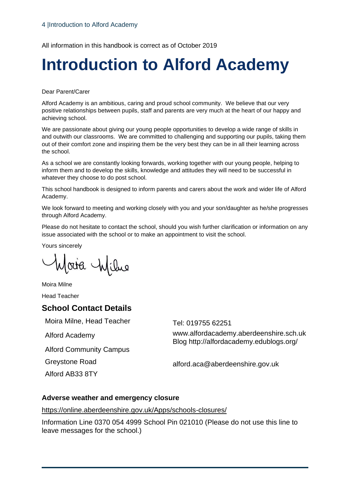All information in this handbook is correct as of October 2019

# <span id="page-3-0"></span>**Introduction to Alford Academy**

Dear Parent/Carer

Alford Academy is an ambitious, caring and proud school community. We believe that our very positive relationships between pupils, staff and parents are very much at the heart of our happy and achieving school.

We are passionate about giving our young people opportunities to develop a wide range of skills in and outwith our classrooms. We are committed to challenging and supporting our pupils, taking them out of their comfort zone and inspiring them be the very best they can be in all their learning across the school.

As a school we are constantly looking forwards, working together with our young people, helping to inform them and to develop the skills, knowledge and attitudes they will need to be successful in whatever they choose to do post school.

This school handbook is designed to inform parents and carers about the work and wider life of Alford Academy.

We look forward to meeting and working closely with you and your son/daughter as he/she progresses through Alford Academy.

Please do not hesitate to contact the school, should you wish further clarification or information on any issue associated with the school or to make an appointment to visit the school.

Yours sincerely

Moira Wilme

Moira Milne

Head Teacher

## **School Contact Details**

Moira Milne, Head Teacher Tel: 019755 62251

Alford Community Campus

Greystone Road

Alford AB33 8TY

Alford Academy www.alfordacademy.aberdeenshire.sch.uk Blog http://alfordacademy.edublogs.org/

alford.aca@aberdeenshire.gov.uk

#### **Adverse weather and emergency closure**

<https://online.aberdeenshire.gov.uk/Apps/schools-closures/>

Information Line 0370 054 4999 School Pin 021010 (Please do not use this line to leave messages for the school.)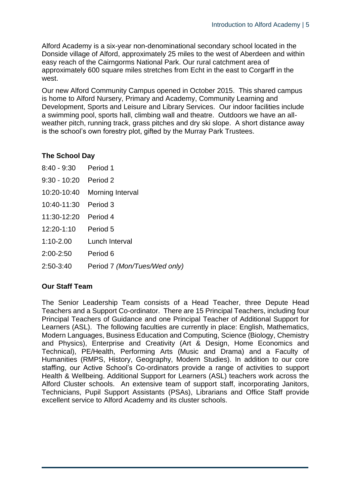Alford Academy is a six-year non-denominational secondary school located in the Donside village of Alford, approximately 25 miles to the west of Aberdeen and within easy reach of the Cairngorms National Park. Our rural catchment area of approximately 600 square miles stretches from Echt in the east to Corgarff in the west.

Our new Alford Community Campus opened in October 2015. This shared campus is home to Alford Nursery, Primary and Academy, Community Learning and Development, Sports and Leisure and Library Services. Our indoor facilities include a swimming pool, sports hall, climbing wall and theatre. Outdoors we have an allweather pitch, running track, grass pitches and dry ski slope. A short distance away is the school's own forestry plot, gifted by the Murray Park Trustees.

## **The School Day**

| 8:40 - 9:30 Period 1    |                              |
|-------------------------|------------------------------|
| $9:30 - 10:20$ Period 2 |                              |
| 10:20-10:40             | Morning Interval             |
| 10:40-11:30 Period 3    |                              |
| 11:30-12:20 Period 4    |                              |
| 12:20-1:10              | Period 5                     |
| 1:10-2.00               | Lunch Interval               |
| $2:00 - 2:50$           | Period 6                     |
| $2:50-3:40$             | Period 7 (Mon/Tues/Wed only) |

## **Our Staff Team**

The Senior Leadership Team consists of a Head Teacher, three Depute Head Teachers and a Support Co-ordinator. There are 15 Principal Teachers, including four Principal Teachers of Guidance and one Principal Teacher of Additional Support for Learners (ASL). The following faculties are currently in place: English, Mathematics, Modern Languages, Business Education and Computing, Science (Biology, Chemistry and Physics), Enterprise and Creativity (Art & Design, Home Economics and Technical), PE/Health, Performing Arts (Music and Drama) and a Faculty of Humanities (RMPS, History, Geography, Modern Studies). In addition to our core staffing, our Active School's Co-ordinators provide a range of activities to support Health & Wellbeing. Additional Support for Learners (ASL) teachers work across the Alford Cluster schools. An extensive team of support staff, incorporating Janitors, Technicians, Pupil Support Assistants (PSAs), Librarians and Office Staff provide excellent service to Alford Academy and its cluster schools.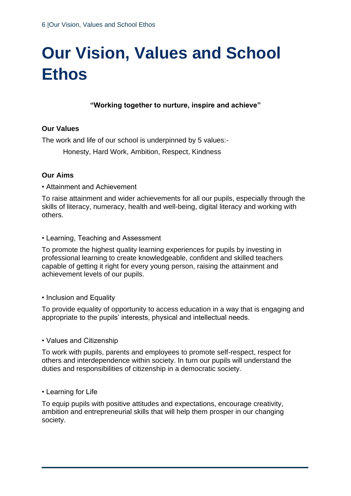# <span id="page-5-0"></span>**Our Vision, Values and School Ethos**

## **"Working together to nurture, inspire and achieve"**

#### **Our Values**

The work and life of our school is underpinned by 5 values:-

Honesty, Hard Work, Ambition, Respect, Kindness

#### **Our Aims**

• Attainment and Achievement

To raise attainment and wider achievements for all our pupils, especially through the skills of literacy, numeracy, health and well-being, digital literacy and working with others.

• Learning, Teaching and Assessment

To promote the highest quality learning experiences for pupils by investing in professional learning to create knowledgeable, confident and skilled teachers capable of getting it right for every young person, raising the attainment and achievement levels of our pupils.

#### • Inclusion and Equality

To provide equality of opportunity to access education in a way that is engaging and appropriate to the pupils' interests, physical and intellectual needs.

• Values and Citizenship

To work with pupils, parents and employees to promote self-respect, respect for others and interdependence within society. In turn our pupils will understand the duties and responsibilities of citizenship in a democratic society.

• Learning for Life

To equip pupils with positive attitudes and expectations, encourage creativity, ambition and entrepreneurial skills that will help them prosper in our changing society.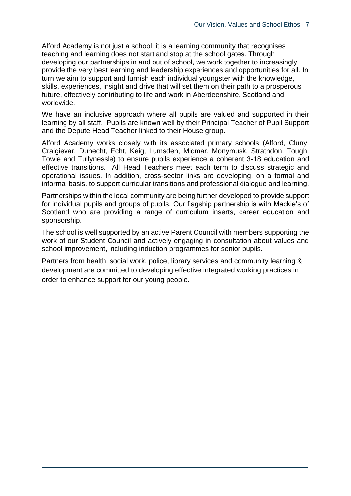Alford Academy is not just a school, it is a learning community that recognises teaching and learning does not start and stop at the school gates. Through developing our partnerships in and out of school, we work together to increasingly provide the very best learning and leadership experiences and opportunities for all. In turn we aim to support and furnish each individual youngster with the knowledge, skills, experiences, insight and drive that will set them on their path to a prosperous future, effectively contributing to life and work in Aberdeenshire, Scotland and worldwide.

We have an inclusive approach where all pupils are valued and supported in their learning by all staff. Pupils are known well by their Principal Teacher of Pupil Support and the Depute Head Teacher linked to their House group.

Alford Academy works closely with its associated primary schools (Alford, Cluny, Craigievar, Dunecht, Echt, Keig, Lumsden, Midmar, Monymusk, Strathdon, Tough, Towie and Tullynessle) to ensure pupils experience a coherent 3-18 education and effective transitions. All Head Teachers meet each term to discuss strategic and operational issues. In addition, cross-sector links are developing, on a formal and informal basis, to support curricular transitions and professional dialogue and learning.

Partnerships within the local community are being further developed to provide support for individual pupils and groups of pupils. Our flagship partnership is with Mackie's of Scotland who are providing a range of curriculum inserts, career education and sponsorship.

The school is well supported by an active Parent Council with members supporting the work of our Student Council and actively engaging in consultation about values and school improvement, including induction programmes for senior pupils.

Partners from health, social work, police, library services and community learning & development are committed to developing effective integrated working practices in order to enhance support for our young people.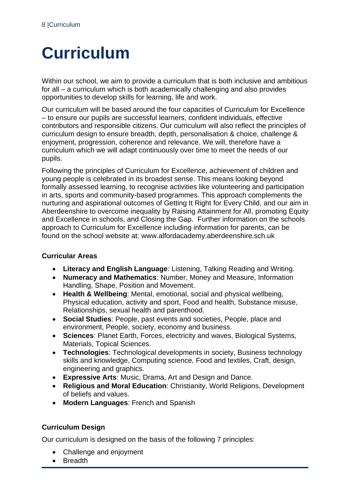# <span id="page-7-0"></span>**Curriculum**

Within our school, we aim to provide a curriculum that is both inclusive and ambitious for all – a curriculum which is both academically challenging and also provides opportunities to develop skills for learning, life and work.

Our curriculum will be based around the four capacities of Curriculum for Excellence – to ensure our pupils are successful learners, confident individuals, effective contributors and responsible citizens. Our curriculum will also reflect the principles of curriculum design to ensure breadth, depth, personalisation & choice, challenge & enjoyment, progression, coherence and relevance. We will, therefore have a curriculum which we will adapt continuously over time to meet the needs of our pupils.

Following the principles of Curriculum for Excellence, achievement of children and young people is celebrated in its broadest sense. This means looking beyond formally assessed learning, to recognise activities like volunteering and participation in arts, sports and community-based programmes. This approach complements the nurturing and aspirational outcomes of Getting It Right for Every Child, and our aim in Aberdeenshire to overcome inequality by Raising Attainment for All, promoting Equity and Excellence in schools, and Closing the Gap. Further information on the schools approach to Curriculum for Excellence including information for parents, can be found on the school website at: www.alfordacademy.aberdeenshire.sch.uk

## **Curricular Areas**

- **Literacy and English Language**: Listening, Talking Reading and Writing.
- **Numeracy and Mathematics**: Number, Money and Measure, Information Handling, Shape, Position and Movement.
- **Health & Wellbeing**: Mental, emotional, social and physical wellbeing, Physical education, activity and sport, Food and health, Substance misuse, Relationships, sexual health and parenthood.
- **Social Studies**: People, past events and societies, People, place and environment, People, society, economy and business.
- **Sciences**: Planet Earth, Forces, electricity and waves, Biological Systems, Materials, Topical Sciences.
- **Technologies**: Technological developments in society, Business technology skills and knowledge, Computing science, Food and textiles, Craft, design, engineering and graphics.
- **Expressive Arts**: Music, Drama, Art and Design and Dance.
- **Religious and Moral Education**: Christianity, World Religions, Development of beliefs and values.
- **Modern Languages**: French and Spanish

## **Curriculum Design**

Our curriculum is designed on the basis of the following 7 principles:

- Challenge and enjoyment
- Breadth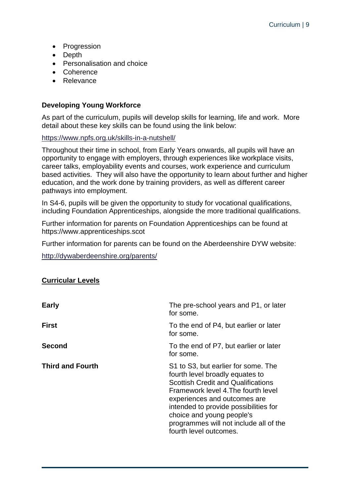- Progression
- Depth
- Personalisation and choice
- Coherence
- Relevance

### **Developing Young Workforce**

As part of the curriculum, pupils will develop skills for learning, life and work. More detail about these key skills can be found using the link below:

<https://www.npfs.org.uk/skills-in-a-nutshell/>

Throughout their time in school, from Early Years onwards, all pupils will have an opportunity to engage with employers, through experiences like workplace visits, career talks, employability events and courses, work experience and curriculum based activities. They will also have the opportunity to learn about further and higher education, and the work done by training providers, as well as different career pathways into employment.

In S4-6, pupils will be given the opportunity to study for vocational qualifications, including Foundation Apprenticeships, alongside the more traditional qualifications.

Further information for parents on Foundation Apprenticeships can be found at https://www.apprenticeships.scot

Further information for parents can be found on the Aberdeenshire DYW website:

<http://dywaberdeenshire.org/parents/>

#### **Curricular Levels**

| <b>Early</b>            | The pre-school years and P1, or later<br>for some.                                                                                                                                                                                                                                                                                   |
|-------------------------|--------------------------------------------------------------------------------------------------------------------------------------------------------------------------------------------------------------------------------------------------------------------------------------------------------------------------------------|
| <b>First</b>            | To the end of P4, but earlier or later<br>for some.                                                                                                                                                                                                                                                                                  |
| <b>Second</b>           | To the end of P7, but earlier or later<br>for some.                                                                                                                                                                                                                                                                                  |
| <b>Third and Fourth</b> | S1 to S3, but earlier for some. The<br>fourth level broadly equates to<br><b>Scottish Credit and Qualifications</b><br>Framework level 4. The fourth level<br>experiences and outcomes are<br>intended to provide possibilities for<br>choice and young people's<br>programmes will not include all of the<br>fourth level outcomes. |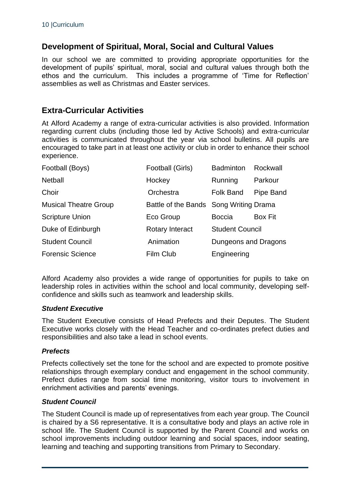## **Development of Spiritual, Moral, Social and Cultural Values**

In our school we are committed to providing appropriate opportunities for the development of pupils' spiritual, moral, social and cultural values through both the ethos and the curriculum. This includes a programme of 'Time for Reflection' assemblies as well as Christmas and Easter services.

## **Extra-Curricular Activities**

At Alford Academy a range of extra-curricular activities is also provided. Information regarding current clubs (including those led by Active Schools) and extra-curricular activities is communicated throughout the year via school bulletins. All pupils are encouraged to take part in at least one activity or club in order to enhance their school experience.

| Football (Boys)              | Football (Girls)                       | <b>Badminton</b>       | Rockwall       |
|------------------------------|----------------------------------------|------------------------|----------------|
| <b>Netball</b>               | Hockey                                 | Running                | Parkour        |
| Choir                        | Orchestra                              | <b>Folk Band</b>       | Pipe Band      |
| <b>Musical Theatre Group</b> | Battle of the Bands Song Writing Drama |                        |                |
| <b>Scripture Union</b>       | Eco Group                              | <b>Boccia</b>          | <b>Box Fit</b> |
| Duke of Edinburgh            | Rotary Interact                        | <b>Student Council</b> |                |
| <b>Student Council</b>       | Animation                              | Dungeons and Dragons   |                |
| <b>Forensic Science</b>      | Film Club                              | Engineering            |                |

Alford Academy also provides a wide range of opportunities for pupils to take on leadership roles in activities within the school and local community, developing selfconfidence and skills such as teamwork and leadership skills.

#### *Student Executive*

The Student Executive consists of Head Prefects and their Deputes. The Student Executive works closely with the Head Teacher and co-ordinates prefect duties and responsibilities and also take a lead in school events.

#### *Prefects*

Prefects collectively set the tone for the school and are expected to promote positive relationships through exemplary conduct and engagement in the school community. Prefect duties range from social time monitoring, visitor tours to involvement in enrichment activities and parents' evenings.

#### *Student Council*

The Student Council is made up of representatives from each year group. The Council is chaired by a S6 representative. It is a consultative body and plays an active role in school life. The Student Council is supported by the Parent Council and works on school improvements including outdoor learning and social spaces, indoor seating, learning and teaching and supporting transitions from Primary to Secondary.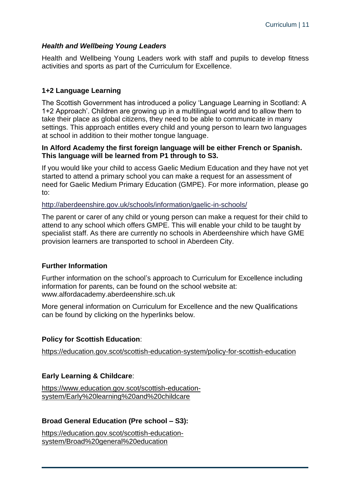### *Health and Wellbeing Young Leaders*

Health and Wellbeing Young Leaders work with staff and pupils to develop fitness activities and sports as part of the Curriculum for Excellence.

#### **1+2 Language Learning**

The Scottish Government has introduced a policy 'Language Learning in Scotland: A 1+2 Approach'. Children are growing up in a multilingual world and to allow them to take their place as global citizens, they need to be able to communicate in many settings. This approach entitles every child and young person to learn two languages at school in addition to their mother tongue language.

#### **In Alford Academy the first foreign language will be either French or Spanish. This language will be learned from P1 through to S3.**

If you would like your child to access Gaelic Medium Education and they have not yet started to attend a primary school you can make a request for an assessment of need for Gaelic Medium Primary Education (GMPE). For more information, please go to:

#### <http://aberdeenshire.gov.uk/schools/information/gaelic-in-schools/>

The parent or carer of any child or young person can make a request for their child to attend to any school which offers GMPE. This will enable your child to be taught by specialist staff. As there are currently no schools in Aberdeenshire which have GME provision learners are transported to school in Aberdeen City.

#### **Further Information**

Further information on the school's approach to Curriculum for Excellence including information for parents, can be found on the school website at: www.alfordacademy.aberdeenshire.sch.uk

More general information on Curriculum for Excellence and the new Qualifications can be found by clicking on the hyperlinks below.

#### **Policy for Scottish Education**:

<https://education.gov.scot/scottish-education-system/policy-for-scottish-education>

#### **Early Learning & Childcare**:

```
https://www.education.gov.scot/scottish-education-
system/Early%20learning%20and%20childcare
```
## **Broad General Education (Pre school – S3):**

[https://education.gov.scot/scottish-education](https://education.gov.scot/scottish-education-system/Broad%20general%20education)[system/Broad%20general%20education](https://education.gov.scot/scottish-education-system/Broad%20general%20education)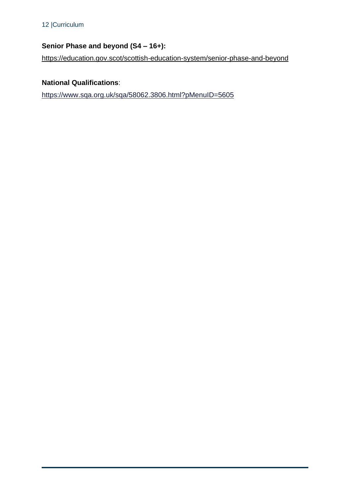# **Senior Phase and beyond (S4 – 16+):**

<https://education.gov.scot/scottish-education-system/senior-phase-and-beyond>

# **National Qualifications**:

<https://www.sqa.org.uk/sqa/58062.3806.html?pMenuID=5605>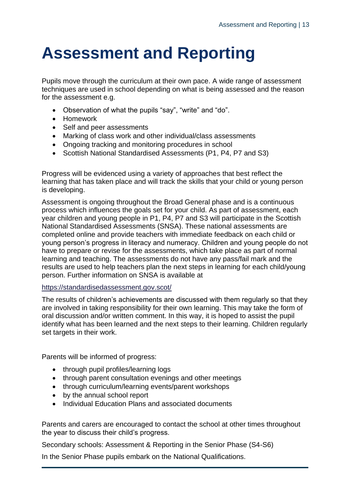# <span id="page-12-0"></span>**Assessment and Reporting**

Pupils move through the curriculum at their own pace. A wide range of assessment techniques are used in school depending on what is being assessed and the reason for the assessment e.g.

- Observation of what the pupils "say", "write" and "do".
- Homework
- Self and peer assessments
- Marking of class work and other individual/class assessments
- Ongoing tracking and monitoring procedures in school
- Scottish National Standardised Assessments (P1, P4, P7 and S3)

Progress will be evidenced using a variety of approaches that best reflect the learning that has taken place and will track the skills that your child or young person is developing.

Assessment is ongoing throughout the Broad General phase and is a continuous process which influences the goals set for your child. As part of assessment, each year children and young people in P1, P4, P7 and S3 will participate in the Scottish National Standardised Assessments (SNSA). These national assessments are completed online and provide teachers with immediate feedback on each child or young person's progress in literacy and numeracy. Children and young people do not have to prepare or revise for the assessments, which take place as part of normal learning and teaching. The assessments do not have any pass/fail mark and the results are used to help teachers plan the next steps in learning for each child/young person. Further information on SNSA is available at

#### <https://standardisedassessment.gov.scot/>

The results of children's achievements are discussed with them regularly so that they are involved in taking responsibility for their own learning. This may take the form of oral discussion and/or written comment. In this way, it is hoped to assist the pupil identify what has been learned and the next steps to their learning. Children regularly set targets in their work.

Parents will be informed of progress:

- through pupil profiles/learning logs
- through parent consultation evenings and other meetings
- through curriculum/learning events/parent workshops
- by the annual school report
- Individual Education Plans and associated documents

Parents and carers are encouraged to contact the school at other times throughout the year to discuss their child's progress.

Secondary schools: Assessment & Reporting in the Senior Phase (S4-S6)

In the Senior Phase pupils embark on the National Qualifications.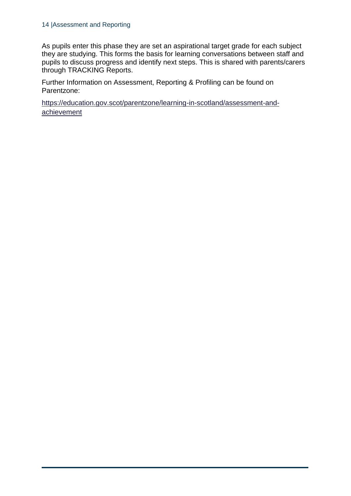#### 14 |Assessment and Reporting

As pupils enter this phase they are set an aspirational target grade for each subject they are studying. This forms the basis for learning conversations between staff and pupils to discuss progress and identify next steps. This is shared with parents/carers through TRACKING Reports.

Further Information on Assessment, Reporting & Profiling can be found on Parentzone:

[https://education.gov.scot/parentzone/learning-in-scotland/assessment-and](https://education.gov.scot/parentzone/learning-in-scotland/assessment-and-achievement)[achievement](https://education.gov.scot/parentzone/learning-in-scotland/assessment-and-achievement)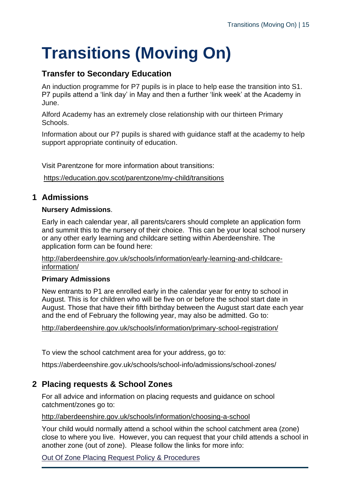# <span id="page-14-0"></span>**Transitions (Moving On)**

# **Transfer to Secondary Education**

An induction programme for P7 pupils is in place to help ease the transition into S1. P7 pupils attend a 'link day' in May and then a further 'link week' at the Academy in June.

Alford Academy has an extremely close relationship with our thirteen Primary Schools.

Information about our P7 pupils is shared with guidance staff at the academy to help support appropriate continuity of education.

Visit Parentzone for more information about transitions:

<https://education.gov.scot/parentzone/my-child/transitions>

# <span id="page-14-1"></span>**1 Admissions**

#### **Nursery Admissions**.

Early in each calendar year, all parents/carers should complete an application form and summit this to the nursery of their choice. This can be your local school nursery or any other early learning and childcare setting within Aberdeenshire. The application form can be found here:

[http://aberdeenshire.gov.uk/schools/information/early-learning-and-childcare](http://aberdeenshire.gov.uk/schools/information/early-learning-and-childcare-information/)[information/](http://aberdeenshire.gov.uk/schools/information/early-learning-and-childcare-information/)

## **Primary Admissions**

New entrants to P1 are enrolled early in the calendar year for entry to school in August. This is for children who will be five on or before the school start date in August. Those that have their fifth birthday between the August start date each year and the end of February the following year, may also be admitted. Go to:

<http://aberdeenshire.gov.uk/schools/information/primary-school-registration/>

To view the school catchment area for your address, go to:

https://aberdeenshire.gov.uk/schools/school-info/admissions/school-zones/

# <span id="page-14-2"></span>**2 Placing requests & School Zones**

For all advice and information on placing requests and guidance on school catchment/zones go to:

#### <http://aberdeenshire.gov.uk/schools/information/choosing-a-school>

Your child would normally attend a school within the school catchment area (zone) close to where you live. However, you can request that your child attends a school in another zone (out of zone). Please follow the links for more info:

[Out Of Zone Placing Request Policy &](http://publications.aberdeenshire.gov.uk/dataset/b9bb8c35-50b7-401e-a7e3-30833f69cc73/resource/40bbfda1-c03a-4514-98c1-86cb4a0033e5/download/cusersspellascdocumentsoutofzoneplacingrequestpolicymay18.pdf) Procedures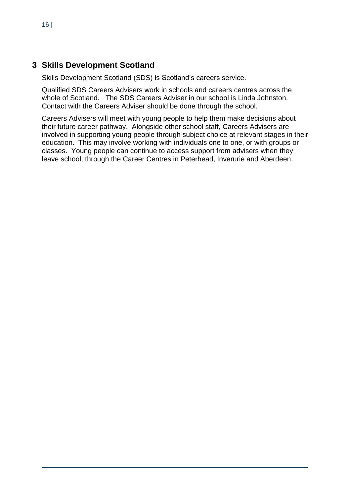## <span id="page-15-0"></span>**3 Skills Development Scotland**

Skills Development Scotland (SDS) is Scotland's careers service.

Qualified SDS Careers Advisers work in schools and careers centres across the whole of Scotland. The SDS Careers Adviser in our school is Linda Johnston. Contact with the Careers Adviser should be done through the school.

Careers Advisers will meet with young people to help them make decisions about their future career pathway. Alongside other school staff, Careers Advisers are involved in supporting young people through subject choice at relevant stages in their education. This may involve working with individuals one to one, or with groups or classes. Young people can continue to access support from advisers when they leave school, through the Career Centres in Peterhead, Inverurie and Aberdeen.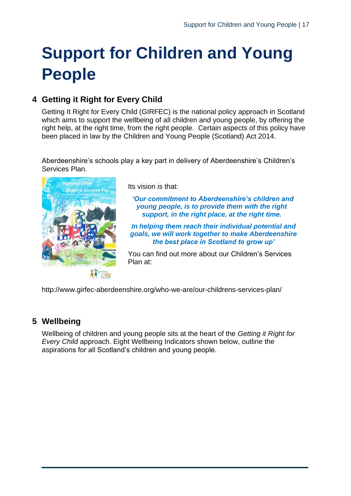# <span id="page-16-0"></span>**Support for Children and Young People**

# <span id="page-16-1"></span>**4 Getting it Right for Every Child**

Getting It Right for Every Child (GIRFEC) is the national policy approach in Scotland which aims to support the wellbeing of all children and young people, by offering the right help, at the right time, from the right people. Certain aspects of this policy have been placed in law by the Children and Young People (Scotland) Act 2014.

Aberdeenshire's schools play a key part in delivery of Aberdeenshire's Children's Services Plan.



Its vision is that:

*'Our commitment to Aberdeenshire's children and young people, is to provide them with the right support, in the right place, at the right time.*

*In helping them reach their individual potential and goals, we will work together to make Aberdeenshire the best place in Scotland to grow up'*

You can find out more about our Children's Services Plan at:

http://www.girfec-aberdeenshire.org/who-we-are/our-childrens-services-plan/

# <span id="page-16-2"></span>**5 Wellbeing**

Wellbeing of children and young people sits at the heart of the *Getting it Right for Every Child* approach. Eight Wellbeing Indicators shown below, outline the aspirations for all Scotland's children and young people.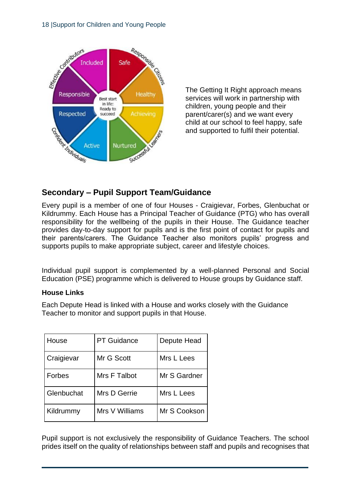

The Getting It Right approach means services will work in partnership with children, young people and their parent/carer(s) and we want every child at our school to feel happy, safe and supported to fulfil their potential.

# **Secondary – Pupil Support Team/Guidance**

Every pupil is a member of one of four Houses - Craigievar, Forbes, Glenbuchat or Kildrummy. Each House has a Principal Teacher of Guidance (PTG) who has overall responsibility for the wellbeing of the pupils in their House. The Guidance teacher provides day-to-day support for pupils and is the first point of contact for pupils and their parents/carers. The Guidance Teacher also monitors pupils' progress and supports pupils to make appropriate subject, career and lifestyle choices.

Individual pupil support is complemented by a well-planned Personal and Social Education (PSE) programme which is delivered to House groups by Guidance staff.

## **House Links**

Each Depute Head is linked with a House and works closely with the Guidance Teacher to monitor and support pupils in that House.

| House      | <b>PT Guidance</b> | Depute Head  |
|------------|--------------------|--------------|
| Craigievar | Mr G Scott         | Mrs L Lees   |
| Forbes     | Mrs F Talbot       | Mr S Gardner |
| Glenbuchat | Mrs D Gerrie       | Mrs L Lees   |
| Kildrummy  | Mrs V Williams     | Mr S Cookson |

Pupil support is not exclusively the responsibility of Guidance Teachers. The school prides itself on the quality of relationships between staff and pupils and recognises that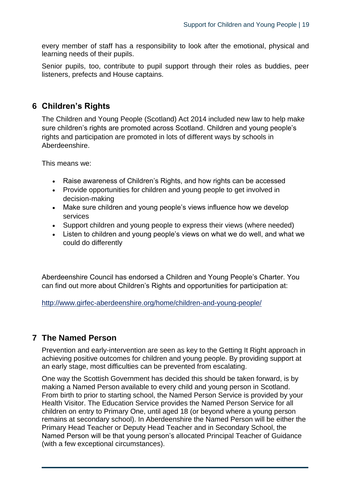every member of staff has a responsibility to look after the emotional, physical and learning needs of their pupils.

Senior pupils, too, contribute to pupil support through their roles as buddies, peer listeners, prefects and House captains.

# <span id="page-18-0"></span>**6 Children's Rights**

The Children and Young People (Scotland) Act 2014 included new law to help make sure children's rights are promoted across Scotland. Children and young people's rights and participation are promoted in lots of different ways by schools in Aberdeenshire.

This means we:

- Raise awareness of Children's Rights, and how rights can be accessed
- Provide opportunities for children and young people to get involved in decision-making
- Make sure children and young people's views influence how we develop services
- Support children and young people to express their views (where needed)
- Listen to children and young people's views on what we do well, and what we could do differently

Aberdeenshire Council has endorsed a Children and Young People's Charter. You can find out more about Children's Rights and opportunities for participation at:

<http://www.girfec-aberdeenshire.org/home/children-and-young-people/>

# <span id="page-18-1"></span>**7 The Named Person**

Prevention and early-intervention are seen as key to the Getting It Right approach in achieving positive outcomes for children and young people. By providing support at an early stage, most difficulties can be prevented from escalating.

One way the Scottish Government has decided this should be taken forward, is by making a Named Person available to every child and young person in Scotland. From birth to prior to starting school, the Named Person Service is provided by your Health Visitor. The Education Service provides the Named Person Service for all children on entry to Primary One, until aged 18 (or beyond where a young person remains at secondary school). In Aberdeenshire the Named Person will be either the Primary Head Teacher or Deputy Head Teacher and in Secondary School, the Named Person will be that young person's allocated Principal Teacher of Guidance (with a few exceptional circumstances).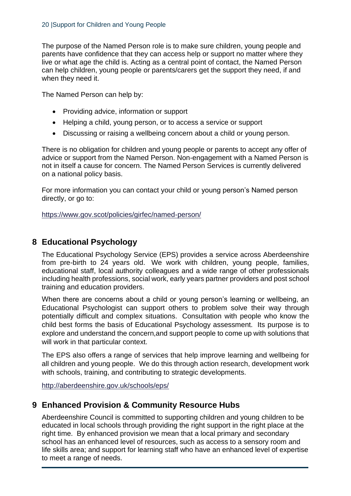The purpose of the Named Person role is to make sure children, young people and parents have confidence that they can access help or support no matter where they live or what age the child is. Acting as a central point of contact, the Named Person can help children, young people or parents/carers get the support they need, if and when they need it.

The Named Person can help by:

- Providing advice, information or support
- Helping a child, young person, or to access a service or support
- Discussing or raising a wellbeing concern about a child or young person.

There is no obligation for children and young people or parents to accept any offer of advice or support from the Named Person. Non-engagement with a Named Person is not in itself a cause for concern. The Named Person Services is currently delivered on a national policy basis.

For more information you can contact your child or young person's Named person directly, or go to:

<https://www.gov.scot/policies/girfec/named-person/>

## <span id="page-19-0"></span>**8 Educational Psychology**

The Educational Psychology Service (EPS) provides a service across Aberdeenshire from pre-birth to 24 years old. We work with children, young people, families, educational staff, local authority colleagues and a wide range of other professionals including health professions, social work, early years partner providers and post school training and education providers.

When there are concerns about a child or young person's learning or wellbeing, an Educational Psychologist can support others to problem solve their way through potentially difficult and complex situations. Consultation with people who know the child best forms the basis of Educational Psychology assessment. Its purpose is to explore and understand the concern,and support people to come up with solutions that will work in that particular context.

The EPS also offers a range of services that help improve learning and wellbeing for all children and young people. We do this through action research, development work with schools, training, and contributing to strategic developments.

<http://aberdeenshire.gov.uk/schools/eps/>

# <span id="page-19-1"></span>**9 Enhanced Provision & Community Resource Hubs**

Aberdeenshire Council is committed to supporting children and young children to be educated in local schools through providing the right support in the right place at the right time. By enhanced provision we mean that a local primary and secondary school has an enhanced level of resources, such as access to a sensory room and life skills area; and support for learning staff who have an enhanced level of expertise to meet a range of needs.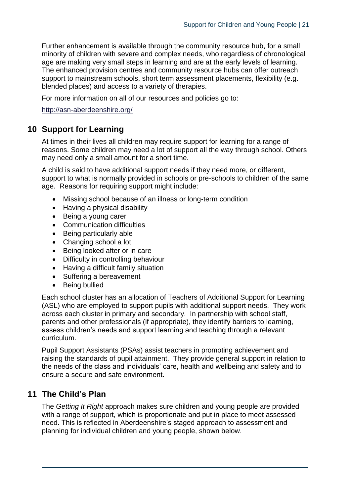Further enhancement is available through the community resource hub, for a small minority of children with severe and complex needs, who regardless of chronological age are making very small steps in learning and are at the early levels of learning. The enhanced provision centres and community resource hubs can offer outreach support to mainstream schools, short term assessment placements, flexibility (e.g. blended places) and access to a variety of therapies.

For more information on all of our resources and policies go to:

<span id="page-20-0"></span><http://asn-aberdeenshire.org/>

## **10 Support for Learning**

At times in their lives all children may require support for learning for a range of reasons. Some children may need a lot of support all the way through school. Others may need only a small amount for a short time.

A child is said to have additional support needs if they need more, or different, support to what is normally provided in schools or pre-schools to children of the same age. Reasons for requiring support might include:

- Missing school because of an illness or long-term condition
- Having a physical disability
- Being a young carer
- Communication difficulties
- Being particularly able
- Changing school a lot
- Being looked after or in care
- Difficulty in controlling behaviour
- Having a difficult family situation
- Suffering a bereavement
- Being bullied

Each school cluster has an allocation of Teachers of Additional Support for Learning (ASL) who are employed to support pupils with additional support needs. They work across each cluster in primary and secondary. In partnership with school staff, parents and other professionals (if appropriate), they identify barriers to learning, assess children's needs and support learning and teaching through a relevant curriculum.

Pupil Support Assistants (PSAs) assist teachers in promoting achievement and raising the standards of pupil attainment. They provide general support in relation to the needs of the class and individuals' care, health and wellbeing and safety and to ensure a secure and safe environment.

## <span id="page-20-1"></span>**11 The Child's Plan**

The *Getting It Right* approach makes sure children and young people are provided with a range of support, which is proportionate and put in place to meet assessed need. This is reflected in Aberdeenshire's staged approach to assessment and planning for individual children and young people, shown below.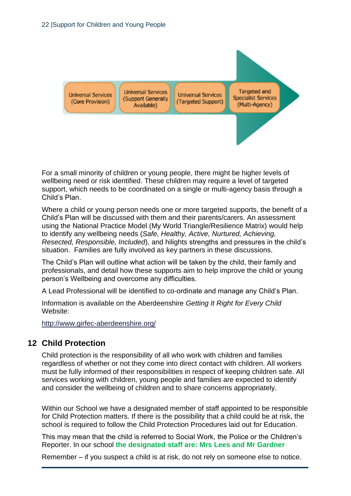

For a small minority of children or young people, there might be higher levels of wellbeing need or risk identified. These children may require a level of targeted support, which needs to be coordinated on a single or multi-agency basis through a Child's Plan.

Where a child or young person needs one or more targeted supports, the benefit of a Child's Plan will be discussed with them and their parents/carers. An assessment using the National Practice Model (My World Triangle/Resilience Matrix) would help to identify any wellbeing needs (*Safe, Healthy, Active, Nurtured, Achieving, Resected, Responsible, Included*), and hilights strengths and pressures in the child's situation. Families are fully involved as key partners in these discussions.

The Child's Plan will outline what action will be taken by the child, their family and professionals, and detail how these supports aim to help improve the child or young person's Wellbeing and overcome any difficulties.

A Lead Professional will be identified to co-ordinate and manage any Child's Plan.

Information is available on the Aberdeenshire *Getting It Right for Every Child* Website:

<span id="page-21-0"></span><http://www.girfec-aberdeenshire.org/>

## **12 Child Protection**

Child protection is the responsibility of all who work with children and families regardless of whether or not they come into direct contact with children. All workers must be fully informed of their responsibilities in respect of keeping children safe. All services working with children, young people and families are expected to identify and consider the wellbeing of children and to share concerns appropriately.

Within our School we have a designated member of staff appointed to be responsible for Child Protection matters. If there is the possibility that a child could be at risk, the school is required to follow the Child Protection Procedures laid out for Education.

This may mean that the child is referred to Social Work, the Police or the Children's Reporter. In our school **the designated staff are: Mrs Lees and Mr Gardner**

Remember – if you suspect a child is at risk, do not rely on someone else to notice.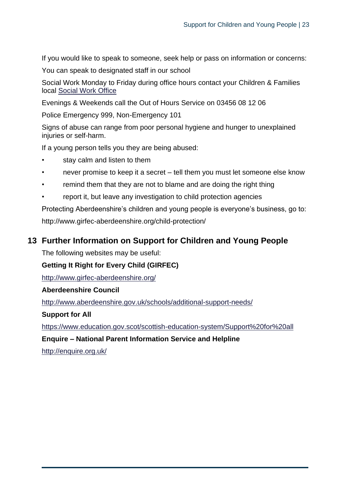If you would like to speak to someone, seek help or pass on information or concerns:

You can speak to designated staff in our school

Social Work Monday to Friday during office hours contact your Children & Families local [Social Work Office](https://www.aberdeenshire.gov.uk/social-care-and-health/children-and-families/children-and-families-team-offices/)

Evenings & Weekends call the Out of Hours Service on 03456 08 12 06

Police Emergency 999, Non-Emergency 101

Signs of abuse can range from poor personal hygiene and hunger to unexplained injuries or self-harm.

If a young person tells you they are being abused:

- stay calm and listen to them
- never promise to keep it a secret tell them you must let someone else know
- remind them that they are not to blame and are doing the right thing
- report it, but leave any investigation to child protection agencies

Protecting Aberdeenshire's children and young people is everyone's business, go to: http://www.girfec-aberdeenshire.org/child-protection/

# <span id="page-22-0"></span>**13 Further Information on Support for Children and Young People**

The following websites may be useful:

## **Getting It Right for Every Child (GIRFEC)**

<http://www.girfec-aberdeenshire.org/>

#### **Aberdeenshire Council**

<http://www.aberdeenshire.gov.uk/schools/additional-support-needs/>

## **Support for All**

<https://www.education.gov.scot/scottish-education-system/Support%20for%20all>

**Enquire – National Parent Information Service and Helpline**

<http://enquire.org.uk/>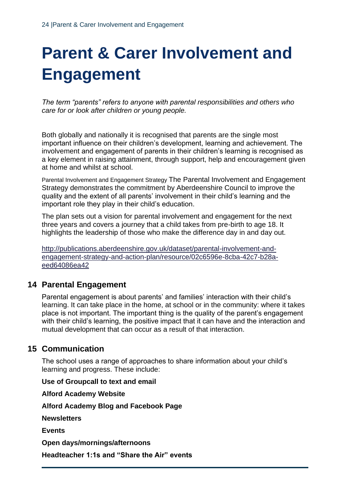# <span id="page-23-0"></span>**Parent & Carer Involvement and Engagement**

*The term "parents" refers to anyone with parental responsibilities and others who care for or look after children or young people.*

Both globally and nationally it is recognised that parents are the single most important influence on their children's development, learning and achievement. The involvement and engagement of parents in their children's learning is recognised as a key element in raising attainment, through support, help and encouragement given at home and whilst at school.

Parental Involvement and Engagement Strategy The Parental Involvement and Engagement Strategy demonstrates the commitment by Aberdeenshire Council to improve the quality and the extent of all parents' involvement in their child's learning and the important role they play in their child's education.

The plan sets out a vision for parental involvement and engagement for the next three years and covers a journey that a child takes from pre-birth to age 18. It highlights the leadership of those who make the difference day in and day out.

[http://publications.aberdeenshire.gov.uk/dataset/parental-involvement-and](http://publications.aberdeenshire.gov.uk/dataset/parental-involvement-and-engagement-strategy-and-action-plan/resource/02c6596e-8cba-42c7-b28a-eed64086ea42)[engagement-strategy-and-action-plan/resource/02c6596e-8cba-42c7-b28a](http://publications.aberdeenshire.gov.uk/dataset/parental-involvement-and-engagement-strategy-and-action-plan/resource/02c6596e-8cba-42c7-b28a-eed64086ea42)[eed64086ea42](http://publications.aberdeenshire.gov.uk/dataset/parental-involvement-and-engagement-strategy-and-action-plan/resource/02c6596e-8cba-42c7-b28a-eed64086ea42)

# <span id="page-23-1"></span>**14 Parental Engagement**

Parental engagement is about parents' and families' interaction with their child's learning. It can take place in the home, at school or in the community: where it takes place is not important. The important thing is the quality of the parent's engagement with their child's learning, the positive impact that it can have and the interaction and mutual development that can occur as a result of that interaction.

# <span id="page-23-2"></span>**15 Communication**

The school uses a range of approaches to share information about your child's learning and progress. These include:

**Use of Groupcall to text and email** 

**Alford Academy Website**

**Alford Academy Blog and Facebook Page**

**Newsletters** 

**Events** 

**Open days/mornings/afternoons** 

**Headteacher 1:1s and "Share the Air" events**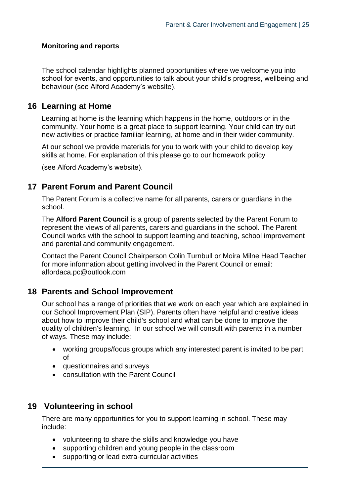### **Monitoring and reports**

The school calendar highlights planned opportunities where we welcome you into school for events, and opportunities to talk about your child's progress, wellbeing and behaviour (see Alford Academy's website).

## <span id="page-24-0"></span>**16 Learning at Home**

Learning at home is the learning which happens in the home, outdoors or in the community. Your home is a great place to support learning. Your child can try out new activities or practice familiar learning, at home and in their wider community.

At our school we provide materials for you to work with your child to develop key skills at home. For explanation of this please go to our homework policy

<span id="page-24-1"></span>(see Alford Academy's website).

## **17 Parent Forum and Parent Council**

The Parent Forum is a collective name for all parents, carers or guardians in the school.

The **Alford Parent Council** is a group of parents selected by the Parent Forum to represent the views of all parents, carers and guardians in the school. The Parent Council works with the school to support learning and teaching, school improvement and parental and community engagement.

Contact the Parent Council Chairperson Colin Turnbull or Moira Milne Head Teacher for more information about getting involved in the Parent Council or email: alfordaca.pc@outlook.com

## <span id="page-24-2"></span>**18 Parents and School Improvement**

Our school has a range of priorities that we work on each year which are explained in our School Improvement Plan (SIP). Parents often have helpful and creative ideas about how to improve their child's school and what can be done to improve the quality of children's learning. In our school we will consult with parents in a number of ways. These may include:

- working groups/focus groups which any interested parent is invited to be part of
- questionnaires and surveys
- consultation with the Parent Council

## <span id="page-24-3"></span>**19 Volunteering in school**

There are many opportunities for you to support learning in school. These may include:

- volunteering to share the skills and knowledge you have
- supporting children and young people in the classroom
- supporting or lead extra-curricular activities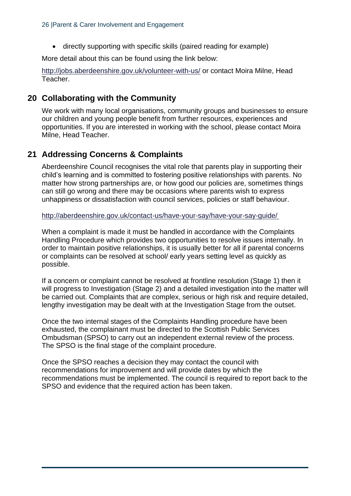• directly supporting with specific skills (paired reading for example)

More detail about this can be found using the link below:

<http://jobs.aberdeenshire.gov.uk/volunteer-with-us/> or contact Moira Milne, Head Teacher.

## <span id="page-25-0"></span>**20 Collaborating with the Community**

We work with many local organisations, community groups and businesses to ensure our children and young people benefit from further resources, experiences and opportunities. If you are interested in working with the school, please contact Moira Milne, Head Teacher.

# <span id="page-25-1"></span>**21 Addressing Concerns & Complaints**

Aberdeenshire Council recognises the vital role that parents play in supporting their child's learning and is committed to fostering positive relationships with parents. No matter how strong partnerships are, or how good our policies are, sometimes things can still go wrong and there may be occasions where parents wish to express unhappiness or dissatisfaction with council services, policies or staff behaviour.

<http://aberdeenshire.gov.uk/contact-us/have-your-say/have-your-say-guide/>

When a complaint is made it must be handled in accordance with the Complaints Handling Procedure which provides two opportunities to resolve issues internally. In order to maintain positive relationships, it is usually better for all if parental concerns or complaints can be resolved at school/ early years setting level as quickly as possible.

If a concern or complaint cannot be resolved at frontline resolution (Stage 1) then it will progress to Investigation (Stage 2) and a detailed investigation into the matter will be carried out. Complaints that are complex, serious or high risk and require detailed, lengthy investigation may be dealt with at the Investigation Stage from the outset.

Once the two internal stages of the Complaints Handling procedure have been exhausted, the complainant must be directed to the Scottish Public Services Ombudsman (SPSO) to carry out an independent external review of the process. The SPSO is the final stage of the complaint procedure.

Once the SPSO reaches a decision they may contact the council with recommendations for improvement and will provide dates by which the recommendations must be implemented. The council is required to report back to the SPSO and evidence that the required action has been taken.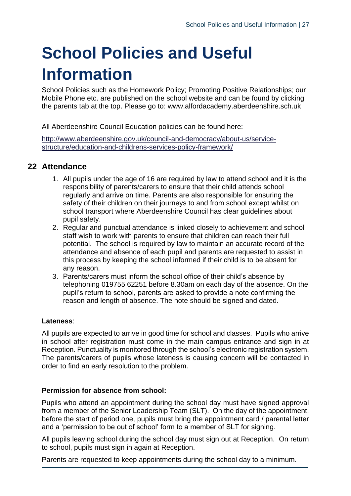# <span id="page-26-0"></span>**School Policies and Useful Information**

School Policies such as the Homework Policy; Promoting Positive Relationships; our Mobile Phone etc. are published on the school website and can be found by clicking the parents tab at the top. Please go to: www.alfordacademy.aberdeenshire.sch.uk

All Aberdeenshire Council Education policies can be found here:

[http://www.aberdeenshire.gov.uk/council-and-democracy/about-us/service](http://www.aberdeenshire.gov.uk/council-and-democracy/about-us/service-structure/education-and-childrens-services-policy-framework/)[structure/education-and-childrens-services-policy-framework/](http://www.aberdeenshire.gov.uk/council-and-democracy/about-us/service-structure/education-and-childrens-services-policy-framework/)

# <span id="page-26-1"></span>**22 Attendance**

- 1. All pupils under the age of 16 are required by law to attend school and it is the responsibility of parents/carers to ensure that their child attends school regularly and arrive on time. Parents are also responsible for ensuring the safety of their children on their journeys to and from school except whilst on school transport where Aberdeenshire Council has clear guidelines about pupil safety.
- 2. Regular and punctual attendance is linked closely to achievement and school staff wish to work with parents to ensure that children can reach their full potential. The school is required by law to maintain an accurate record of the attendance and absence of each pupil and parents are requested to assist in this process by keeping the school informed if their child is to be absent for any reason.
- 3. Parents/carers must inform the school office of their child's absence by telephoning 019755 62251 before 8.30am on each day of the absence. On the pupil's return to school, parents are asked to provide a note confirming the reason and length of absence. The note should be signed and dated.

#### **Lateness**:

All pupils are expected to arrive in good time for school and classes. Pupils who arrive in school after registration must come in the main campus entrance and sign in at Reception. Punctuality is monitored through the school's electronic registration system. The parents/carers of pupils whose lateness is causing concern will be contacted in order to find an early resolution to the problem.

#### **Permission for absence from school:**

Pupils who attend an appointment during the school day must have signed approval from a member of the Senior Leadership Team (SLT). On the day of the appointment, before the start of period one, pupils must bring the appointment card / parental letter and a 'permission to be out of school' form to a member of SLT for signing.

All pupils leaving school during the school day must sign out at Reception. On return to school, pupils must sign in again at Reception.

Parents are requested to keep appointments during the school day to a minimum.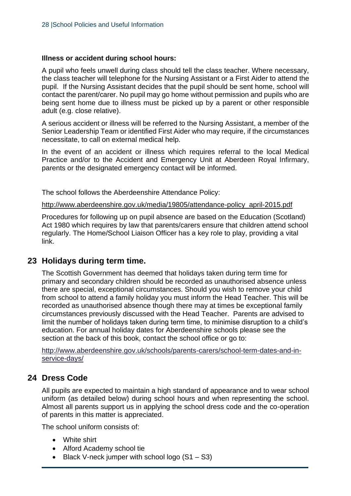#### **Illness or accident during school hours:**

A pupil who feels unwell during class should tell the class teacher. Where necessary, the class teacher will telephone for the Nursing Assistant or a First Aider to attend the pupil. If the Nursing Assistant decides that the pupil should be sent home, school will contact the parent/carer. No pupil may go home without permission and pupils who are being sent home due to illness must be picked up by a parent or other responsible adult (e.g. close relative).

A serious accident or illness will be referred to the Nursing Assistant, a member of the Senior Leadership Team or identified First Aider who may require, if the circumstances necessitate, to call on external medical help.

In the event of an accident or illness which requires referral to the local Medical Practice and/or to the Accident and Emergency Unit at Aberdeen Royal Infirmary, parents or the designated emergency contact will be informed.

The school follows the Aberdeenshire Attendance Policy:

[http://www.aberdeenshire.gov.uk/media/19805/attendance-policy\\_april-2015.pdf](http://www.aberdeenshire.gov.uk/media/19805/attendance-policy_april-2015.pdf) 

Procedures for following up on pupil absence are based on the Education (Scotland) Act 1980 which requires by law that parents/carers ensure that children attend school regularly. The Home/School Liaison Officer has a key role to play, providing a vital link.

## <span id="page-27-0"></span>**23 Holidays during term time.**

The Scottish Government has deemed that holidays taken during term time for primary and secondary children should be recorded as unauthorised absence unless there are special, exceptional circumstances. Should you wish to remove your child from school to attend a family holiday you must inform the Head Teacher. This will be recorded as unauthorised absence though there may at times be exceptional family circumstances previously discussed with the Head Teacher. Parents are advised to limit the number of holidays taken during term time, to minimise disruption to a child's education. For annual holiday dates for Aberdeenshire schools please see the section at the back of this book, contact the school office or go to:

[http://www.aberdeenshire.gov.uk/schools/parents-carers/school-term-dates-and-in](http://www.aberdeenshire.gov.uk/schools/parents-carers/school-term-dates-and-in-service-days/)[service-days/](http://www.aberdeenshire.gov.uk/schools/parents-carers/school-term-dates-and-in-service-days/)

## <span id="page-27-1"></span>**24 Dress Code**

All pupils are expected to maintain a high standard of appearance and to wear school uniform (as detailed below) during school hours and when representing the school. Almost all parents support us in applying the school dress code and the co-operation of parents in this matter is appreciated.

The school uniform consists of:

- White shirt
- Alford Academy school tie
- Black V-neck jumper with school logo  $(S1 S3)$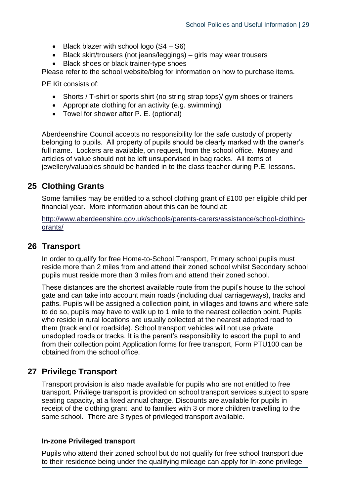- Black blazer with school logo (S4 S6)
- Black skirt/trousers (not jeans/leggings) girls may wear trousers
- Black shoes or black trainer-type shoes

Please refer to the school website/blog for information on how to purchase items.

PE Kit consists of:

- Shorts / T-shirt or sports shirt (no string strap tops)/ gym shoes or trainers
- Appropriate clothing for an activity (e.g. swimming)
- Towel for shower after P. E. (optional)

Aberdeenshire Council accepts no responsibility for the safe custody of property belonging to pupils. All property of pupils should be clearly marked with the owner's full name. Lockers are available, on request, from the school office. Money and articles of value should not be left unsupervised in bag racks. All items of jewellery/valuables should be handed in to the class teacher during P.E. lessons**.**

## <span id="page-28-0"></span>**25 Clothing Grants**

Some families may be entitled to a school clothing grant of £100 per eligible child per financial year. More information about this can be found at:

[http://www.aberdeenshire.gov.uk/schools/parents-carers/assistance/school-clothing](http://www.aberdeenshire.gov.uk/schools/parents-carers/assistance/school-clothing-grants/)[grants/](http://www.aberdeenshire.gov.uk/schools/parents-carers/assistance/school-clothing-grants/)

## <span id="page-28-1"></span>**26 Transport**

In order to qualify for free Home-to-School Transport, Primary school pupils must reside more than 2 miles from and attend their zoned school whilst Secondary school pupils must reside more than 3 miles from and attend their zoned school.

These distances are the shortest available route from the pupil's house to the school gate and can take into account main roads (including dual carriageways), tracks and paths. Pupils will be assigned a collection point, in villages and towns and where safe to do so, pupils may have to walk up to 1 mile to the nearest collection point. Pupils who reside in rural locations are usually collected at the nearest adopted road to them (track end or roadside). School transport vehicles will not use private unadopted roads or tracks. It is the parent's responsibility to escort the pupil to and from their collection point Application forms for free transport, Form PTU100 can be obtained from the school office.

# <span id="page-28-2"></span>**27 Privilege Transport**

Transport provision is also made available for pupils who are not entitled to free transport. Privilege transport is provided on school transport services subject to spare seating capacity, at a fixed annual charge. Discounts are available for pupils in receipt of the clothing grant, and to families with 3 or more children travelling to the same school. There are 3 types of privileged transport available.

#### **In-zone Privileged transport**

Pupils who attend their zoned school but do not qualify for free school transport due to their residence being under the qualifying mileage can apply for In-zone privilege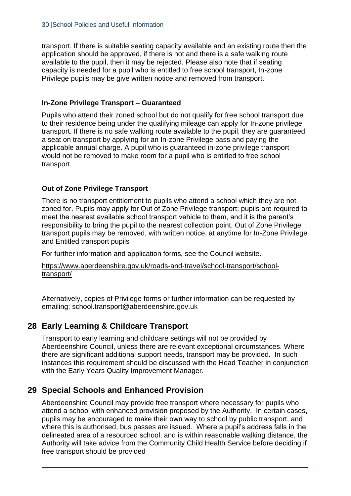transport. If there is suitable seating capacity available and an existing route then the application should be approved, if there is not and there is a safe walking route available to the pupil, then it may be rejected. Please also note that if seating capacity is needed for a pupil who is entitled to free school transport, In-zone Privilege pupils may be give written notice and removed from transport.

## **In-Zone Privilege Transport – Guaranteed**

Pupils who attend their zoned school but do not qualify for free school transport due to their residence being under the qualifying mileage can apply for In-zone privilege transport. If there is no safe walking route available to the pupil, they are guaranteed a seat on transport by applying for an In-zone Privilege pass and paying the applicable annual charge. A pupil who is guaranteed in-zone privilege transport would not be removed to make room for a pupil who is entitled to free school transport.

## **Out of Zone Privilege Transport**

There is no transport entitlement to pupils who attend a school which they are not zoned for. Pupils may apply for Out of Zone Privilege transport; pupils are required to meet the nearest available school transport vehicle to them, and it is the parent's responsibility to bring the pupil to the nearest collection point. Out of Zone Privilege transport pupils may be removed, with written notice, at anytime for In-Zone Privilege and Entitled transport pupils

For further information and application forms, see the Council website.

[https://www.aberdeenshire.gov.uk/roads-and-travel/school-transport/school](https://www.aberdeenshire.gov.uk/roads-and-travel/school-transport/school-transport/)[transport/](https://www.aberdeenshire.gov.uk/roads-and-travel/school-transport/school-transport/)

Alternatively, copies of Privilege forms or further information can be requested by emailing: [school.transport@aberdeenshire.gov.uk](mailto:school.transport@aberdeenshire.gov.uk)

# <span id="page-29-0"></span>**28 Early Learning & Childcare Transport**

Transport to early learning and childcare settings will not be provided by Aberdeenshire Council, unless there are relevant exceptional circumstances. Where there are significant additional support needs, transport may be provided. In such instances this requirement should be discussed with the Head Teacher in conjunction with the Early Years Quality Improvement Manager.

# <span id="page-29-1"></span>**29 Special Schools and Enhanced Provision**

Aberdeenshire Council may provide free transport where necessary for pupils who attend a school with enhanced provision proposed by the Authority. In certain cases, pupils may be encouraged to make their own way to school by public transport, and where this is authorised, bus passes are issued. Where a pupil's address falls in the delineated area of a resourced school, and is within reasonable walking distance, the Authority will take advice from the Community Child Health Service before deciding if free transport should be provided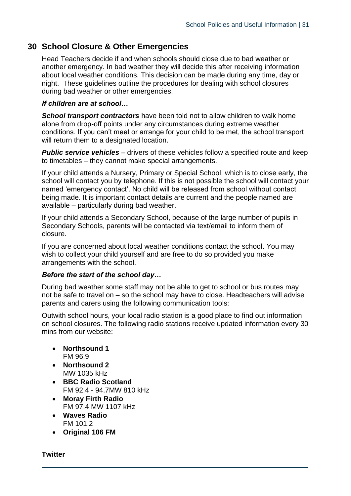# <span id="page-30-0"></span>**30 School Closure & Other Emergencies**

Head Teachers decide if and when schools should close due to bad weather or another emergency. In bad weather they will decide this after receiving information about local weather conditions. This decision can be made during any time, day or night. These guidelines outline the procedures for dealing with school closures during bad weather or other emergencies.

#### *If children are at school…*

*School transport contractors* have been told not to allow children to walk home alone from drop-off points under any circumstances during extreme weather conditions. If you can't meet or arrange for your child to be met, the school transport will return them to a designated location.

**Public service vehicles** – drivers of these vehicles follow a specified route and keep to timetables – they cannot make special arrangements.

If your child attends a Nursery, Primary or Special School, which is to close early, the school will contact you by telephone. If this is not possible the school will contact your named 'emergency contact'. No child will be released from school without contact being made. It is important contact details are current and the people named are available – particularly during bad weather.

If your child attends a Secondary School, because of the large number of pupils in Secondary Schools, parents will be contacted via text/email to inform them of closure.

If you are concerned about local weather conditions contact the school. You may wish to collect your child yourself and are free to do so provided you make arrangements with the school.

#### *Before the start of the school day…*

During bad weather some staff may not be able to get to school or bus routes may not be safe to travel on – so the school may have to close. Headteachers will advise parents and carers using the following communication tools:

Outwith school hours, your local radio station is a good place to find out information on school closures. The following radio stations receive updated information every 30 mins from our website:

- **Northsound 1** FM 96.9
- **Northsound 2** MW 1035 kHz
- **BBC Radio Scotland** FM 92.4 - 94.7MW 810 kHz
- **Moray Firth Radio** FM 97.4 MW 1107 kHz
- **Waves Radio** FM 101.2
- **Original 106 FM**

#### **Twitter**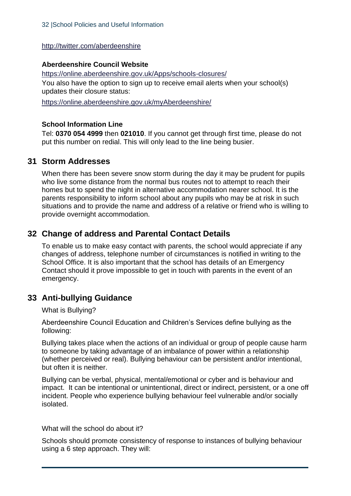<http://twitter.com/aberdeenshire>

## **Aberdeenshire Council Website**

<https://online.aberdeenshire.gov.uk/Apps/schools-closures/> You also have the option to sign up to receive email alerts when your school(s) updates their closure status:

<https://online.aberdeenshire.gov.uk/myAberdeenshire/>

#### **School Information Line**

Tel: **0370 054 4999** then **021010**. If you cannot get through first time, please do not put this number on redial. This will only lead to the line being busier.

## <span id="page-31-0"></span>**31 Storm Addresses**

When there has been severe snow storm during the day it may be prudent for pupils who live some distance from the normal bus routes not to attempt to reach their homes but to spend the night in alternative accommodation nearer school. It is the parents responsibility to inform school about any pupils who may be at risk in such situations and to provide the name and address of a relative or friend who is willing to provide overnight accommodation.

# <span id="page-31-1"></span>**32 Change of address and Parental Contact Details**

To enable us to make easy contact with parents, the school would appreciate if any changes of address, telephone number of circumstances is notified in writing to the School Office. It is also important that the school has details of an Emergency Contact should it prove impossible to get in touch with parents in the event of an emergency.

# <span id="page-31-2"></span>**33 Anti-bullying Guidance**

What is Bullying?

Aberdeenshire Council Education and Children's Services define bullying as the following:

Bullying takes place when the actions of an individual or group of people cause harm to someone by taking advantage of an imbalance of power within a relationship (whether perceived or real). Bullying behaviour can be persistent and/or intentional, but often it is neither.

Bullying can be verbal, physical, mental/emotional or cyber and is behaviour and impact. It can be intentional or unintentional, direct or indirect, persistent, or a one off incident. People who experience bullying behaviour feel vulnerable and/or socially isolated.

What will the school do about it?

Schools should promote consistency of response to instances of bullying behaviour using a 6 step approach. They will: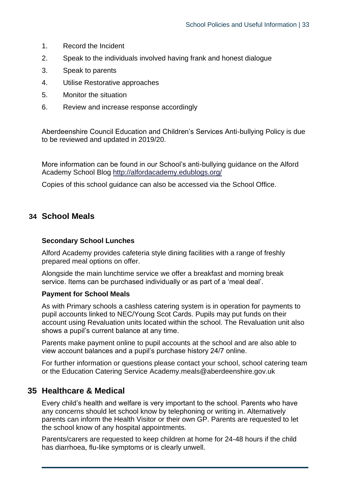- 1. Record the Incident
- 2. Speak to the individuals involved having frank and honest dialogue
- 3. Speak to parents
- 4. Utilise Restorative approaches
- 5. Monitor the situation
- 6. Review and increase response accordingly

Aberdeenshire Council Education and Children's Services Anti-bullying Policy is due to be reviewed and updated in 2019/20.

More information can be found in our School's anti-bullying guidance on the Alford Academy School Blog<http://alfordacademy.edublogs.org/>

Copies of this school guidance can also be accessed via the School Office.

## <span id="page-32-0"></span>**34 School Meals**

#### **Secondary School Lunches**

Alford Academy provides cafeteria style dining facilities with a range of freshly prepared meal options on offer.

Alongside the main lunchtime service we offer a breakfast and morning break service. Items can be purchased individually or as part of a 'meal deal'.

#### **Payment for School Meals**

As with Primary schools a cashless catering system is in operation for payments to pupil accounts linked to NEC/Young Scot Cards. Pupils may put funds on their account using Revaluation units located within the school. The Revaluation unit also shows a pupil's current balance at any time.

Parents make payment online to pupil accounts at the school and are also able to view account balances and a pupil's purchase history 24/7 online.

For further information or questions please contact your school, school catering team or the Education Catering Service Academy.meals@aberdeenshire.gov.uk

## <span id="page-32-1"></span>**35 Healthcare & Medical**

Every child's health and welfare is very important to the school. Parents who have any concerns should let school know by telephoning or writing in. Alternatively parents can inform the Health Visitor or their own GP. Parents are requested to let the school know of any hospital appointments.

Parents/carers are requested to keep children at home for 24-48 hours if the child has diarrhoea, flu-like symptoms or is clearly unwell.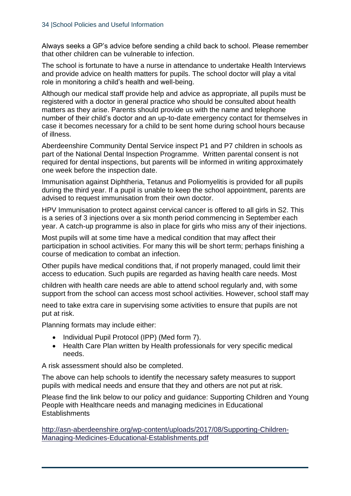Always seeks a GP's advice before sending a child back to school. Please remember that other children can be vulnerable to infection.

The school is fortunate to have a nurse in attendance to undertake Health Interviews and provide advice on health matters for pupils. The school doctor will play a vital role in monitoring a child's health and well-being.

Although our medical staff provide help and advice as appropriate, all pupils must be registered with a doctor in general practice who should be consulted about health matters as they arise. Parents should provide us with the name and telephone number of their child's doctor and an up-to-date emergency contact for themselves in case it becomes necessary for a child to be sent home during school hours because of illness.

Aberdeenshire Community Dental Service inspect P1 and P7 children in schools as part of the National Dental Inspection Programme. Written parental consent is not required for dental inspections, but parents will be informed in writing approximately one week before the inspection date.

Immunisation against Diphtheria, Tetanus and Poliomyelitis is provided for all pupils during the third year. If a pupil is unable to keep the school appointment, parents are advised to request immunisation from their own doctor.

HPV Immunisation to protect against cervical cancer is offered to all girls in S2. This is a series of 3 injections over a six month period commencing in September each year. A catch-up programme is also in place for girls who miss any of their injections.

Most pupils will at some time have a medical condition that may affect their participation in school activities. For many this will be short term; perhaps finishing a course of medication to combat an infection.

Other pupils have medical conditions that, if not properly managed, could limit their access to education. Such pupils are regarded as having health care needs. Most

children with health care needs are able to attend school regularly and, with some support from the school can access most school activities. However, school staff may

need to take extra care in supervising some activities to ensure that pupils are not put at risk.

Planning formats may include either:

- Individual Pupil Protocol (IPP) (Med form 7).
- Health Care Plan written by Health professionals for very specific medical needs.

A risk assessment should also be completed.

The above can help schools to identify the necessary safety measures to support pupils with medical needs and ensure that they and others are not put at risk.

Please find the link below to our policy and guidance: Supporting Children and Young People with Healthcare needs and managing medicines in Educational **Establishments** 

[http://asn-aberdeenshire.org/wp-content/uploads/2017/08/Supporting-Children-](http://asn-aberdeenshire.org/wp-content/uploads/2017/08/Supporting-Children-Managing-Medicines-Educational-Establishments.pdf)[Managing-Medicines-Educational-Establishments.pdf](http://asn-aberdeenshire.org/wp-content/uploads/2017/08/Supporting-Children-Managing-Medicines-Educational-Establishments.pdf)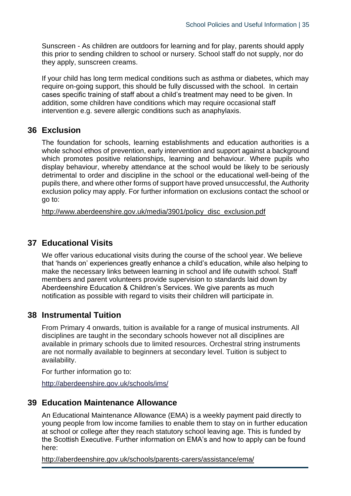Sunscreen - As children are outdoors for learning and for play, parents should apply this prior to sending children to school or nursery. School staff do not supply, nor do they apply, sunscreen creams.

If your child has long term medical conditions such as asthma or diabetes, which may require on-going support, this should be fully discussed with the school. In certain cases specific training of staff about a child's treatment may need to be given. In addition, some children have conditions which may require occasional staff intervention e.g. severe allergic conditions such as anaphylaxis.

## <span id="page-34-0"></span>**36 Exclusion**

The foundation for schools, learning establishments and education authorities is a whole school ethos of prevention, early intervention and support against a background which promotes positive relationships, learning and behaviour. Where pupils who display behaviour, whereby attendance at the school would be likely to be seriously detrimental to order and discipline in the school or the educational well-being of the pupils there, and where other forms of support have proved unsuccessful, the Authority exclusion policy may apply. For further information on exclusions contact the school or go to:

[http://www.aberdeenshire.gov.uk/media/3901/policy\\_disc\\_exclusion.pdf](http://www.aberdeenshire.gov.uk/media/3901/policy_disc_exclusion.pdf)

## <span id="page-34-1"></span>**37 Educational Visits**

We offer various educational visits during the course of the school year. We believe that 'hands on' experiences greatly enhance a child's education, while also helping to make the necessary links between learning in school and life outwith school. Staff members and parent volunteers provide supervision to standards laid down by Aberdeenshire Education & Children's Services. We give parents as much notification as possible with regard to visits their children will participate in.

# <span id="page-34-2"></span>**38 Instrumental Tuition**

From Primary 4 onwards, tuition is available for a range of musical instruments. All disciplines are taught in the secondary schools however not all disciplines are available in primary schools due to limited resources. Orchestral string instruments are not normally available to beginners at secondary level. Tuition is subject to availability.

For further information go to:

<span id="page-34-3"></span><http://aberdeenshire.gov.uk/schools/ims/>

## **39 Education Maintenance Allowance**

An Educational Maintenance Allowance (EMA) is a weekly payment paid directly to young people from low income families to enable them to stay on in further education at school or college after they reach statutory school leaving age. This is funded by the Scottish Executive. Further information on EMA's and how to apply can be found here:

<http://aberdeenshire.gov.uk/schools/parents-carers/assistance/ema/>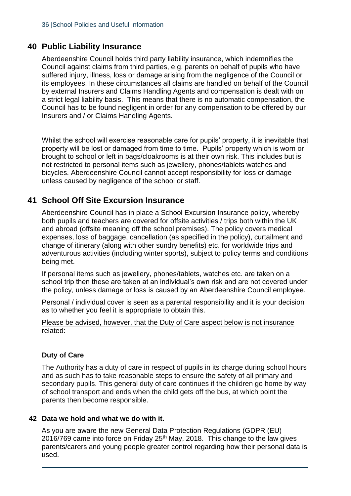## <span id="page-35-0"></span>**40 Public Liability Insurance**

Aberdeenshire Council holds third party liability insurance, which indemnifies the Council against claims from third parties, e.g. parents on behalf of pupils who have suffered injury, illness, loss or damage arising from the negligence of the Council or its employees. In these circumstances all claims are handled on behalf of the Council by external Insurers and Claims Handling Agents and compensation is dealt with on a strict legal liability basis. This means that there is no automatic compensation, the Council has to be found negligent in order for any compensation to be offered by our Insurers and / or Claims Handling Agents.

Whilst the school will exercise reasonable care for pupils' property, it is inevitable that property will be lost or damaged from time to time. Pupils' property which is worn or brought to school or left in bags/cloakrooms is at their own risk. This includes but is not restricted to personal items such as jewellery, phones/tablets watches and bicycles. Aberdeenshire Council cannot accept responsibility for loss or damage unless caused by negligence of the school or staff.

## <span id="page-35-1"></span>**41 School Off Site Excursion Insurance**

Aberdeenshire Council has in place a School Excursion Insurance policy, whereby both pupils and teachers are covered for offsite activities / trips both within the UK and abroad (offsite meaning off the school premises). The policy covers medical expenses, loss of baggage, cancellation (as specified in the policy), curtailment and change of itinerary (along with other sundry benefits) etc. for worldwide trips and adventurous activities (including winter sports), subject to policy terms and conditions being met.

If personal items such as jewellery, phones/tablets, watches etc. are taken on a school trip then these are taken at an individual's own risk and are not covered under the policy, unless damage or loss is caused by an Aberdeenshire Council employee.

Personal / individual cover is seen as a parental responsibility and it is your decision as to whether you feel it is appropriate to obtain this.

#### Please be advised, however, that the Duty of Care aspect below is not insurance related:

## **Duty of Care**

The Authority has a duty of care in respect of pupils in its charge during school hours and as such has to take reasonable steps to ensure the safety of all primary and secondary pupils. This general duty of care continues if the children go home by way of school transport and ends when the child gets off the bus, at which point the parents then become responsible.

#### <span id="page-35-2"></span>**42 Data we hold and what we do with it.**

As you are aware the new General Data Protection Regulations (GDPR (EU) 2016/769 came into force on Friday 25<sup>th</sup> May, 2018. This change to the law gives parents/carers and young people greater control regarding how their personal data is used.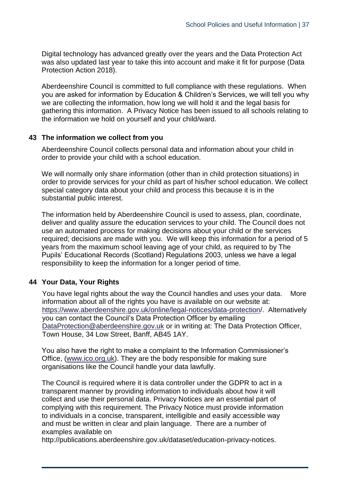Digital technology has advanced greatly over the years and the Data Protection Act was also updated last year to take this into account and make it fit for purpose (Data Protection Action 2018).

Aberdeenshire Council is committed to full compliance with these regulations. When you are asked for information by Education & Children's Services, we will tell you why we are collecting the information, how long we will hold it and the legal basis for gathering this information. A Privacy Notice has been issued to all schools relating to the information we hold on yourself and your child/ward.

#### <span id="page-36-0"></span>**43 The information we collect from you**

Aberdeenshire Council collects personal data and information about your child in order to provide your child with a school education.

We will normally only share information (other than in child protection situations) in order to provide services for your child as part of his/her school education. We collect special category data about your child and process this because it is in the substantial public interest.

The information held by Aberdeenshire Council is used to assess, plan, coordinate, deliver and quality assure the education services to your child. The Council does not use an automated process for making decisions about your child or the services required; decisions are made with you. We will keep this information for a period of 5 years from the maximum school leaving age of your child, as required to by The Pupils' Educational Records (Scotland) Regulations 2003, unless we have a legal responsibility to keep the information for a longer period of time.

#### <span id="page-36-1"></span>**44 Your Data, Your Rights**

You have legal rights about the way the Council handles and uses your data. More information about all of the rights you have is available on our website at: [https://www.aberdeenshire.gov.uk/online/legal-notices/data-protection/.](https://www.aberdeenshire.gov.uk/online/legal-notices/data-protection/) Alternatively you can contact the Council's Data Protection Officer by emailing [DataProtection@aberdeenshire.gov.uk](mailto:DataProtection@aberdeenshire.gov.uk) or in writing at: The Data Protection Officer, Town House, 34 Low Street, Banff, AB45 1AY.

You also have the right to make a complaint to the Information Commissioner's Office, [\(www.ico.org.uk\)](http://www.ico.org.uk/). They are the body responsible for making sure organisations like the Council handle your data lawfully.

The Council is required where it is data controller under the GDPR to act in a transparent manner by providing information to individuals about how it will collect and use their personal data. Privacy Notices are an essential part of complying with this requirement. The Privacy Notice must provide information to individuals in a concise, transparent, intelligible and easily accessible way and must be written in clear and plain language. There are a number of examples available on

http://publications.aberdeenshire.gov.uk/dataset/education-privacy-notices.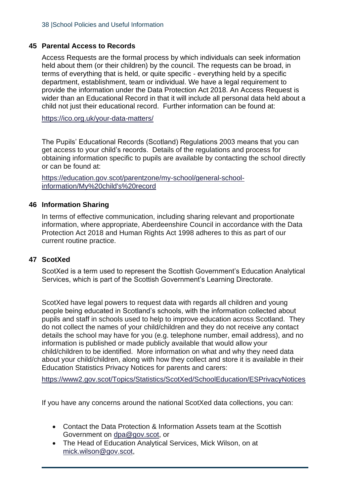## <span id="page-37-0"></span>**45 Parental Access to Records**

Access Requests are the formal process by which individuals can seek information held about them (or their children) by the council. The requests can be broad, in terms of everything that is held, or quite specific - everything held by a specific department, establishment, team or individual. We have a legal requirement to provide the information under the Data Protection Act 2018. An Access Request is wider than an Educational Record in that it will include all personal data held about a child not just their educational record. Further information can be found at:

<https://ico.org.uk/your-data-matters/>

The Pupils' Educational Records (Scotland) Regulations 2003 means that you can get access to your child's records. Details of the regulations and process for obtaining information specific to pupils are available by contacting the school directly or can be found at:

[https://education.gov.scot/parentzone/my-school/general-school](https://education.gov.scot/parentzone/my-school/general-school-information/My%20child)[information/My%20child's%20record](https://education.gov.scot/parentzone/my-school/general-school-information/My%20child)

#### <span id="page-37-1"></span>**46 Information Sharing**

In terms of effective communication, including sharing relevant and proportionate information, where appropriate, Aberdeenshire Council in accordance with the Data Protection Act 2018 and Human Rights Act 1998 adheres to this as part of our current routine practice.

## <span id="page-37-2"></span>**47 ScotXed**

ScotXed is a term used to represent the Scottish Government's Education Analytical Services, which is part of the Scottish Government's Learning Directorate.

ScotXed have legal powers to request data with regards all children and young people being educated in Scotland's schools, with the information collected about pupils and staff in schools used to help to improve education across Scotland. They do not collect the names of your child/children and they do not receive any contact details the school may have for you (e.g. telephone number, email address), and no information is published or made publicly available that would allow your child/children to be identified. More information on what and why they need data about your child/children, along with how they collect and store it is available in their Education Statistics Privacy Notices for parents and carers:

<https://www2.gov.scot/Topics/Statistics/ScotXed/SchoolEducation/ESPrivacyNotices>

If you have any concerns around the national ScotXed data collections, you can:

- Contact the Data Protection & Information Assets team at the Scottish Government on [dpa@gov.scot,](mailto:dpa@gov.scot) or
- The Head of Education Analytical Services, Mick Wilson, on at [mick.wilson@gov.scot,](mailto:mick.wilson@gov.scot)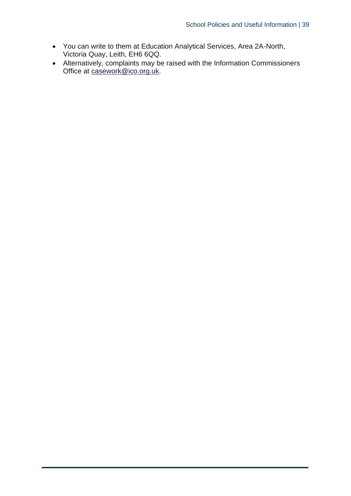- You can write to them at Education Analytical Services, Area 2A-North, Victoria Quay, Leith, EH6 6QQ.
- Alternatively, complaints may be raised with the Information Commissioners Office at [casework@ico.org.uk.](mailto:casework@ico.org.uk)